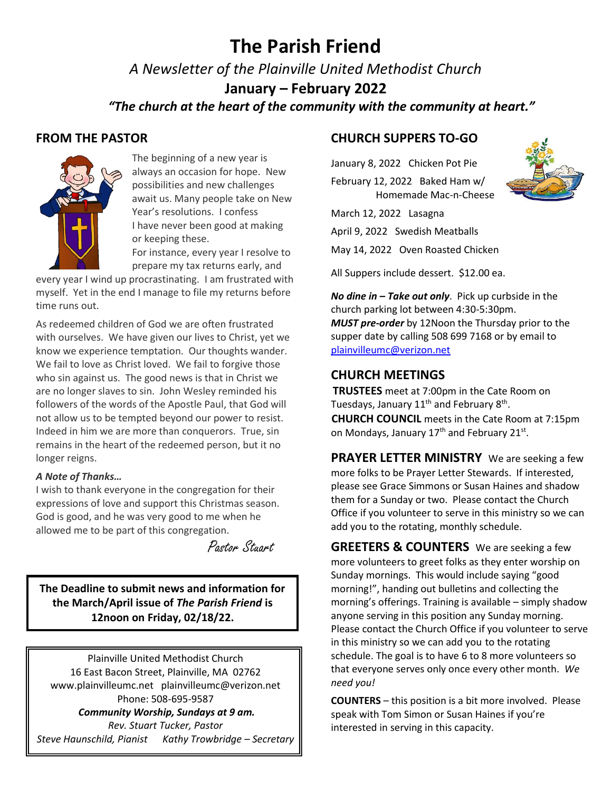# **The Parish Friend**

*A Newsletter of the Plainville United Methodist Church*

**January – February 2022**

 *"The church at the heart of the community with the community at heart."*

## **FROM THE PASTOR**



The beginning of a new year is always an occasion for hope. New possibilities and new challenges await us. Many people take on New Year's resolutions. I confess I have never been good at making or keeping these.

For instance, every year I resolve to prepare my tax returns early, and

every year I wind up procrastinating. I am frustrated with myself. Yet in the end I manage to file my returns before time runs out.

As redeemed children of God we are often frustrated with ourselves. We have given our lives to Christ, yet we know we experience temptation. Our thoughts wander. We fail to love as Christ loved. We fail to forgive those who sin against us. The good news is that in Christ we are no longer slaves to sin. John Wesley reminded his followers of the words of the Apostle Paul, that God will not allow us to be tempted beyond our power to resist. Indeed in him we are more than conquerors. True, sin remains in the heart of the redeemed person, but it no longer reigns.

#### *A Note of Thanks…*

I wish to thank everyone in the congregation for their expressions of love and support this Christmas season. God is good, and he was very good to me when he allowed me to be part of this congregation.

Pastor Stuart.

**The Deadline to submit news and information for the March/April issue of** *The Parish Friend* **is 12noon on Friday, 02/18/22.**

Plainville United Methodist Church 16 East Bacon Street, Plainville, MA 02762 [www.plainvilleumc.net](http://www.plainvilleumc.net/) [plainvilleumc@verizon.net](mailto:plainvilleumc@verizon.net) Phone: 508-695-9587 *Community Worship, Sundays at 9 am. Rev. Stuart Tucker, Pastor Steve Haunschild, Pianist Kathy Trowbridge – Secretary*

## **CHURCH SUPPERS TO-GO**

January 8, 2022 Chicken Pot Pie February 12, 2022 Baked Ham w/ Homemade Mac-n-Cheese

March 12, 2022 Lasagna

April 9, 2022 Swedish Meatballs

May 14, 2022 Oven Roasted Chicken

All Suppers include dessert. \$12.00 ea.

*No dine in – Take out only*. Pick up curbside in the church parking lot between 4:30-5:30pm. *MUST pre-order* by 12Noon the Thursday prior to the supper date by calling 508 699 7168 or by email to [plainvilleumc@verizon.net](mailto:plainvilleumc@verizon.net)

## **CHURCH MEETINGS**

 **TRUSTEES** meet at 7:00pm in the Cate Room on Tuesdays, January 11<sup>th</sup> and February 8<sup>th</sup>. **CHURCH COUNCIL** meets in the Cate Room at 7:15pm on Mondays, January 17<sup>th</sup> and February 21<sup>st</sup>.

**PRAYER LETTER MINISTRY** We are seeking a few more folks to be Prayer Letter Stewards. If interested, please see Grace Simmons or Susan Haines and shadow them for a Sunday or two. Please contact the Church Office if you volunteer to serve in this ministry so we can add you to the rotating, monthly schedule.

**GREETERS & COUNTERS** We are seeking a few more volunteers to greet folks as they enter worship on Sunday mornings. This would include saying "good morning!", handing out bulletins and collecting the morning's offerings. Training is available – simply shadow anyone serving in this position any Sunday morning. Please contact the Church Office if you volunteer to serve in this ministry so we can add you to the rotating schedule. The goal is to have 6 to 8 more volunteers so that everyone serves only once every other month. *We need you!* 

**COUNTERS** – this position is a bit more involved. Please speak with Tom Simon or Susan Haines if you're interested in serving in this capacity.

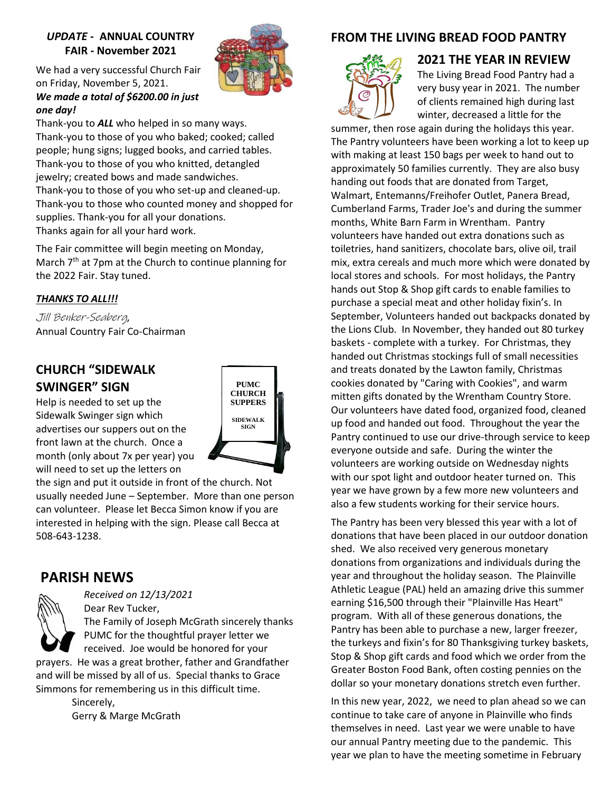#### *UPDATE* **- ANNUAL COUNTRY FAIR - November 2021**



We had a very successful Church Fair on Friday, November 5, 2021. *We made a total of \$6200.00 in just* 

Thank-you to *ALL* who helped in so many ways. Thank-you to those of you who baked; cooked; called people; hung signs; lugged books, and carried tables. Thank-you to those of you who knitted, detangled jewelry; created bows and made sandwiches. Thank-you to those of you who set-up and cleaned-up. Thank-you to those who counted money and shopped for supplies. Thank-you for all your donations. Thanks again for all your hard work.

The Fair committee will begin meeting on Monday, March 7<sup>th</sup> at 7pm at the Church to continue planning for the 2022 Fair. Stay tuned.

#### *THANKS TO ALL!!!*

*one day!*

Jill Benker-Seaberg, Annual Country Fair Co-Chairman

## **CHURCH "SIDEWALK SWINGER" SIGN**

Help is needed to set up the Sidewalk Swinger sign which advertises our suppers out on the front lawn at the church. Once a month (only about 7x per year) you will need to set up the letters on



the sign and put it outside in front of the church. Not usually needed June – September. More than one person can volunteer. Please let Becca Simon know if you are interested in helping with the sign. Please call Becca at 508-643-1238.

## **PARISH NEWS**



*Received on 12/13/2021* Dear Rev Tucker,

The Family of Joseph McGrath sincerely thanks PUMC for the thoughtful prayer letter we received. Joe would be honored for your

prayers. He was a great brother, father and Grandfather and will be missed by all of us. Special thanks to Grace Simmons for remembering us in this difficult time.

> Sincerely, Gerry & Marge McGrath

## **FROM THE LIVING BREAD FOOD PANTRY**



#### **2021 THE YEAR IN REVIEW**

The Living Bread Food Pantry had a very busy year in 2021. The number of clients remained high during last winter, decreased a little for the

summer, then rose again during the holidays this year. The Pantry volunteers have been working a lot to keep up with making at least 150 bags per week to hand out to approximately 50 families currently. They are also busy handing out foods that are donated from Target, Walmart, Entemanns/Freihofer Outlet, Panera Bread, Cumberland Farms, Trader Joe's and during the summer months, White Barn Farm in Wrentham. Pantry volunteers have handed out extra donations such as toiletries, hand sanitizers, chocolate bars, olive oil, trail mix, extra cereals and much more which were donated by local stores and schools. For most holidays, the Pantry hands out Stop & Shop gift cards to enable families to purchase a special meat and other holiday fixin's. In September, Volunteers handed out backpacks donated by the Lions Club. In November, they handed out 80 turkey baskets - complete with a turkey. For Christmas, they handed out Christmas stockings full of small necessities and treats donated by the Lawton family, Christmas cookies donated by "Caring with Cookies", and warm mitten gifts donated by the Wrentham Country Store. Our volunteers have dated food, organized food, cleaned up food and handed out food. Throughout the year the Pantry continued to use our drive-through service to keep everyone outside and safe. During the winter the volunteers are working outside on Wednesday nights with our spot light and outdoor heater turned on. This year we have grown by a few more new volunteers and also a few students working for their service hours.

The Pantry has been very blessed this year with a lot of donations that have been placed in our outdoor donation shed. We also received very generous monetary donations from organizations and individuals during the year and throughout the holiday season. The Plainville Athletic League (PAL) held an amazing drive this summer earning \$16,500 through their "Plainville Has Heart" program. With all of these generous donations, the Pantry has been able to purchase a new, larger freezer, the turkeys and fixin's for 80 Thanksgiving turkey baskets, Stop & Shop gift cards and food which we order from the Greater Boston Food Bank, often costing pennies on the dollar so your monetary donations stretch even further.

In this new year, 2022, we need to plan ahead so we can continue to take care of anyone in Plainville who finds themselves in need. Last year we were unable to have our annual Pantry meeting due to the pandemic. This year we plan to have the meeting sometime in February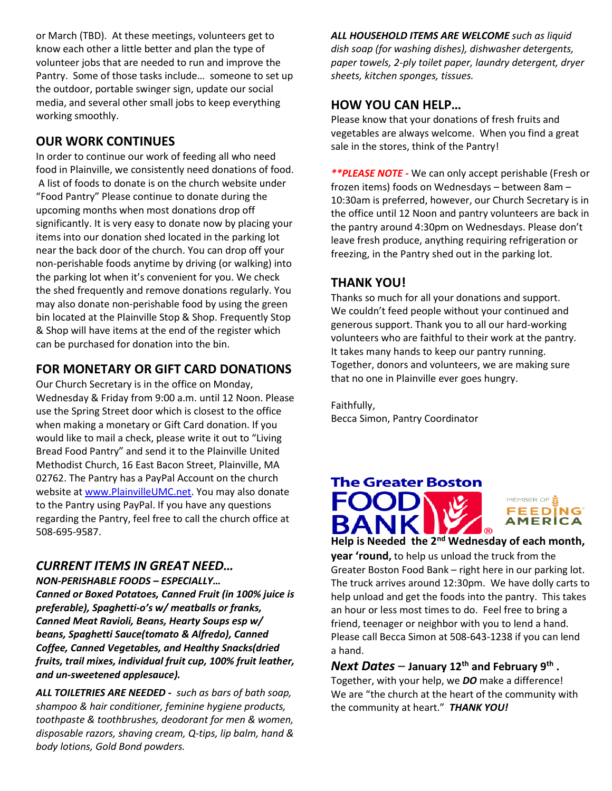or March (TBD). At these meetings, volunteers get to know each other a little better and plan the type of volunteer jobs that are needed to run and improve the Pantry. Some of those tasks include… someone to set up the outdoor, portable swinger sign, update our social media, and several other small jobs to keep everything working smoothly.

## **OUR WORK CONTINUES**

In order to continue our work of feeding all who need food in Plainville, we consistently need donations of food. A list of foods to donate is on the church website under "Food Pantry" Please continue to donate during the upcoming months when most donations drop off significantly. It is very easy to donate now by placing your items into our donation shed located in the parking lot near the back door of the church. You can drop off your non-perishable foods anytime by driving (or walking) into the parking lot when it's convenient for you. We check the shed frequently and remove donations regularly. You may also donate non-perishable food by using the green bin located at the Plainville Stop & Shop. Frequently Stop & Shop will have items at the end of the register which can be purchased for donation into the bin.

## **FOR MONETARY OR GIFT CARD DONATIONS**

Our Church Secretary is in the office on Monday, Wednesday & Friday from 9:00 a.m. until 12 Noon. Please use the Spring Street door which is closest to the office when making a monetary or Gift Card donation. If you would like to mail a check, please write it out to "Living Bread Food Pantry" and send it to the Plainville United Methodist Church, 16 East Bacon Street, Plainville, MA 02762. The Pantry has a PayPal Account on the church website at [www.PlainvilleUMC.net.](http://www.plainvilleumc.net/) You may also donate to the Pantry using PayPal. If you have any questions regarding the Pantry, feel free to call the church office at 508-695-9587.

### *CURRENT ITEMS IN GREAT NEED…*

*NON-PERISHABLE FOODS – ESPECIALLY… Canned or Boxed Potatoes, Canned Fruit (in 100% juice is preferable), Spaghetti-o's w/ meatballs or franks, Canned Meat Ravioli, Beans, Hearty Soups esp w/ beans, Spaghetti Sauce(tomato & Alfredo), Canned Coffee, Canned Vegetables, and Healthy Snacks(dried fruits, trail mixes, individual fruit cup, 100% fruit leather, and un-sweetened applesauce).* 

*ALL TOILETRIES ARE NEEDED - such as bars of bath soap, shampoo & hair conditioner, feminine hygiene products, toothpaste & toothbrushes, deodorant for men & women, disposable razors, shaving cream, Q-tips, lip balm, hand & body lotions, Gold Bond powders.*

*ALL HOUSEHOLD ITEMS ARE WELCOME such as liquid dish soap (for washing dishes), dishwasher detergents, paper towels, 2-ply toilet paper, laundry detergent, dryer sheets, kitchen sponges, tissues.* 

### **HOW YOU CAN HELP…**

Please know that your donations of fresh fruits and vegetables are always welcome. When you find a great sale in the stores, think of the Pantry!

*\*\*PLEASE NOTE -* We can only accept perishable (Fresh or frozen items) foods on Wednesdays – between 8am – 10:30am is preferred, however, our Church Secretary is in the office until 12 Noon and pantry volunteers are back in the pantry around 4:30pm on Wednesdays. Please don't leave fresh produce, anything requiring refrigeration or freezing, in the Pantry shed out in the parking lot.

## **THANK YOU!**

Thanks so much for all your donations and support. We couldn't feed people without your continued and generous support. Thank you to all our hard-working volunteers who are faithful to their work at the pantry. It takes many hands to keep our pantry running. Together, donors and volunteers, we are making sure that no one in Plainville ever goes hungry.

Faithfully, Becca Simon, Pantry Coordinator

## **The Greater Boston** MEMBER OF **SEAR**<br>FEED MG AMERICA **Help is Needed the 2nd Wednesday of each month,**

**year 'round,** to help us unload the truck from the Greater Boston Food Bank – right here in our parking lot. The truck arrives around 12:30pm. We have dolly carts to help unload and get the foods into the pantry. This takes an hour or less most times to do. Feel free to bring a friend, teenager or neighbor with you to lend a hand. Please call Becca Simon at 508-643-1238 if you can lend a hand.

### *Next Dates* – **January 12th and February 9th .**

Together, with your help, we *DO* make a difference! We are "the church at the heart of the community with the community at heart." *THANK YOU!*